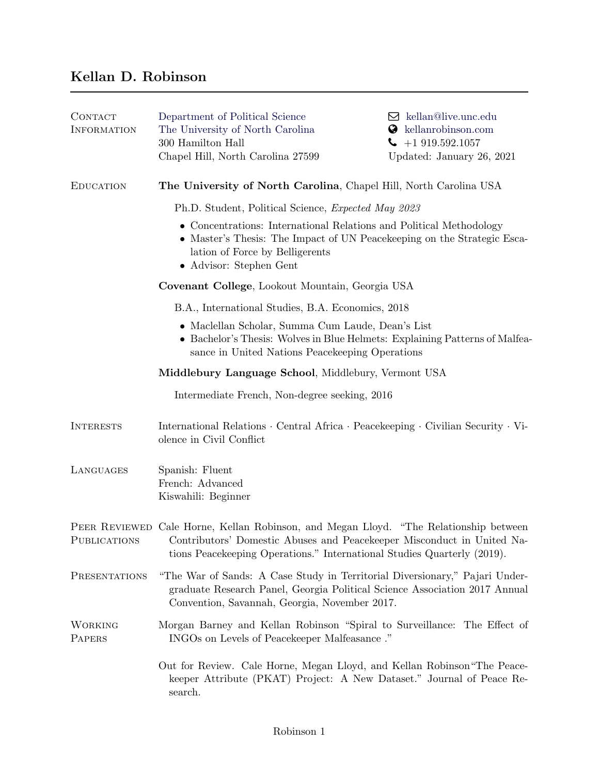## Kellan D. Robinson

| CONTACT<br><b>INFORMATION</b> | Department of Political Science<br>The University of North Carolina<br>300 Hamilton Hall<br>Chapel Hill, North Carolina 27599                                                                                                              | $\boxtimes$ kellan@live.unc.edu<br>kellanrobinson.com<br>Ø<br>$-1919.592.1057$<br>Updated: January 26, 2021 |
|-------------------------------|--------------------------------------------------------------------------------------------------------------------------------------------------------------------------------------------------------------------------------------------|-------------------------------------------------------------------------------------------------------------|
| <b>EDUCATION</b>              | The University of North Carolina, Chapel Hill, North Carolina USA                                                                                                                                                                          |                                                                                                             |
|                               | Ph.D. Student, Political Science, <i>Expected May 2023</i>                                                                                                                                                                                 |                                                                                                             |
|                               | • Concentrations: International Relations and Political Methodology<br>• Master's Thesis: The Impact of UN Peacekeeping on the Strategic Esca-<br>lation of Force by Belligerents<br>• Advisor: Stephen Gent                               |                                                                                                             |
|                               | Covenant College, Lookout Mountain, Georgia USA                                                                                                                                                                                            |                                                                                                             |
|                               | B.A., International Studies, B.A. Economics, 2018                                                                                                                                                                                          |                                                                                                             |
|                               | • Maclellan Scholar, Summa Cum Laude, Dean's List<br>• Bachelor's Thesis: Wolves in Blue Helmets: Explaining Patterns of Malfea-<br>sance in United Nations Peacekeeping Operations                                                        |                                                                                                             |
|                               | Middlebury Language School, Middlebury, Vermont USA                                                                                                                                                                                        |                                                                                                             |
|                               | Intermediate French, Non-degree seeking, 2016                                                                                                                                                                                              |                                                                                                             |
| <b>INTERESTS</b>              | International Relations · Central Africa · Peacekeeping · Civilian Security · Vi-<br>olence in Civil Conflict                                                                                                                              |                                                                                                             |
| LANGUAGES                     | Spanish: Fluent<br>French: Advanced<br>Kiswahili: Beginner                                                                                                                                                                                 |                                                                                                             |
| PUBLICATIONS                  | PEER REVIEWED Cale Horne, Kellan Robinson, and Megan Lloyd. "The Relationship between<br>Contributors' Domestic Abuses and Peacekeeper Misconduct in United Na-<br>tions Peacekeeping Operations." International Studies Quarterly (2019). |                                                                                                             |
| PRESENTATIONS                 | "The War of Sands: A Case Study in Territorial Diversionary," Pajari Under-<br>graduate Research Panel, Georgia Political Science Association 2017 Annual<br>Convention, Savannah, Georgia, November 2017.                                 |                                                                                                             |
| WORKING<br>PAPERS             | Morgan Barney and Kellan Robinson "Spiral to Surveillance: The Effect of<br>INGOs on Levels of Peacekeeper Malfeasance."                                                                                                                   |                                                                                                             |
|                               | Out for Review. Cale Horne, Megan Lloyd, and Kellan Robinson "The Peace-<br>keeper Attribute (PKAT) Project: A New Dataset." Journal of Peace Re-<br>search.                                                                               |                                                                                                             |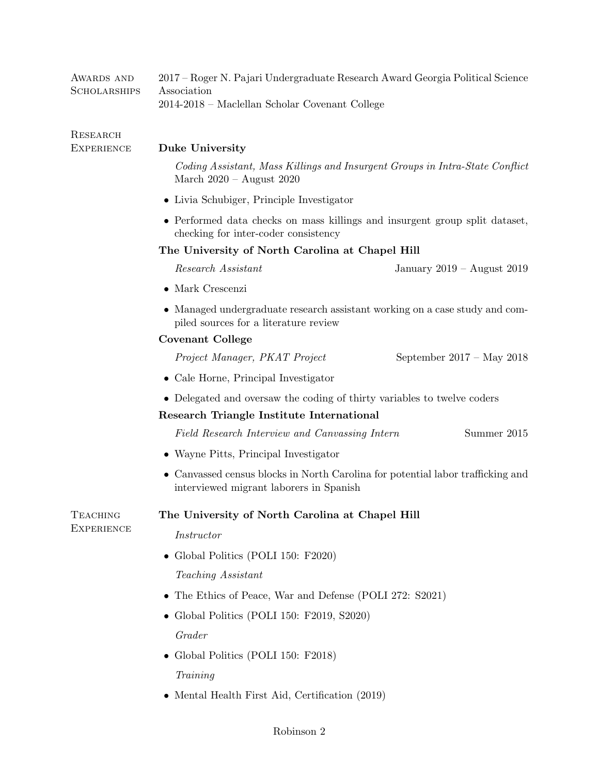| AWARDS AND<br><b>SCHOLARSHIPS</b>    | 2017 – Roger N. Pajari Undergraduate Research Award Georgia Political Science<br>Association<br>2014-2018 - Maclellan Scholar Covenant College |                             |  |
|--------------------------------------|------------------------------------------------------------------------------------------------------------------------------------------------|-----------------------------|--|
| RESEARCH                             |                                                                                                                                                |                             |  |
| <b>EXPERIENCE</b>                    | Duke University                                                                                                                                |                             |  |
|                                      | Coding Assistant, Mass Killings and Insurgent Groups in Intra-State Conflict<br>March $2020 -$ August $2020$                                   |                             |  |
|                                      | • Livia Schubiger, Principle Investigator                                                                                                      |                             |  |
|                                      | • Performed data checks on mass killings and insurgent group split dataset,<br>checking for inter-coder consistency                            |                             |  |
|                                      | The University of North Carolina at Chapel Hill                                                                                                |                             |  |
|                                      | Research Assistant                                                                                                                             | January 2019 – August 2019  |  |
|                                      | $\bullet$ Mark Crescenzi                                                                                                                       |                             |  |
|                                      | • Managed undergraduate research assistant working on a case study and com-<br>piled sources for a literature review                           |                             |  |
|                                      | <b>Covenant College</b>                                                                                                                        |                             |  |
|                                      | Project Manager, PKAT Project                                                                                                                  | September $2017 - May 2018$ |  |
|                                      | • Cale Horne, Principal Investigator                                                                                                           |                             |  |
|                                      | • Delegated and oversaw the coding of thirty variables to twelve coders                                                                        |                             |  |
|                                      | Research Triangle Institute International                                                                                                      |                             |  |
|                                      | Field Research Interview and Canvassing Intern                                                                                                 | Summer 2015                 |  |
|                                      | • Wayne Pitts, Principal Investigator                                                                                                          |                             |  |
|                                      | Canvassed census blocks in North Carolina for potential labor trafficking and<br>interviewed migrant laborers in Spanish                       |                             |  |
| <b>TEACHING</b><br><b>EXPERIENCE</b> | The University of North Carolina at Chapel Hill                                                                                                |                             |  |
|                                      | Instructor                                                                                                                                     |                             |  |
|                                      | Global Politics (POLI 150: F2020)<br>$\bullet$                                                                                                 |                             |  |
|                                      | Teaching Assistant                                                                                                                             |                             |  |
|                                      | • The Ethics of Peace, War and Defense (POLI 272: S2021)                                                                                       |                             |  |
|                                      | • Global Politics (POLI 150: F2019, S2020)                                                                                                     |                             |  |
|                                      | Grader                                                                                                                                         |                             |  |
|                                      | Global Politics (POLI 150: F2018)<br>$\bullet$                                                                                                 |                             |  |
|                                      | Training                                                                                                                                       |                             |  |
|                                      | • Mental Health First Aid, Certification (2019)                                                                                                |                             |  |